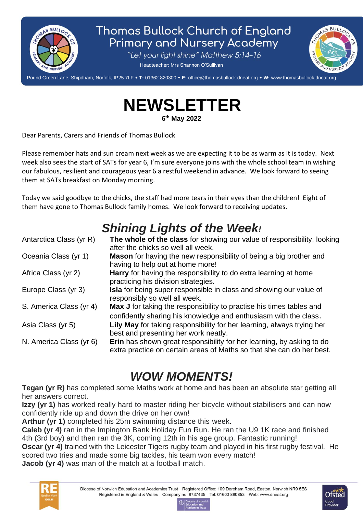

## **Thomas Bullock Church of England Primary and Nursery Academy**

"Let your light shine" Matthew 5:14-16

Headteacher: Mrs Shannon O'Sullivan



Pound Green Lane, Shipdham, Norfolk, IP25 7LF **T:** 01362 820300 **E:** office@thomasbullock.dneat.org **W:** www.thomasbullock.dneat.org l

**NEWSLETTER**

**6 th May 2022**

Dear Parents, Carers and Friends of Thomas Bullock

Please remember hats and sun cream next week as we are expecting it to be as warm as it is today. Next week also sees the start of SATs for year 6, I'm sure everyone joins with the whole school team in wishing our fabulous, resilient and courageous year 6 a restful weekend in advance. We look forward to seeing them at SATs breakfast on Monday morning.

Today we said goodbye to the chicks, the staff had more tears in their eyes than the children! Eight of them have gone to Thomas Bullock family homes. We look forward to receiving updates.

## *Shining Lights of the Week!*

| Antarctica Class (yr R) | The whole of the class for showing our value of responsibility, looking                                                                        |
|-------------------------|------------------------------------------------------------------------------------------------------------------------------------------------|
|                         | after the chicks so well all week.                                                                                                             |
| Oceania Class (yr 1)    | Mason for having the new responsibility of being a big brother and                                                                             |
|                         | having to help out at home more!                                                                                                               |
| Africa Class (yr 2)     | Harry for having the responsibility to do extra learning at home                                                                               |
|                         | practicing his division strategies.                                                                                                            |
| Europe Class (yr 3)     | <b>Isla</b> for being super responsible in class and showing our value of<br>responsibly so well all week.                                     |
| S. America Class (yr 4) | Max J for taking the responsibility to practise his times tables and<br>confidently sharing his knowledge and enthusiasm with the class.       |
|                         |                                                                                                                                                |
| Asia Class (yr 5)       | Lily May for taking responsibility for her learning, always trying her                                                                         |
|                         | best and presenting her work neatly.                                                                                                           |
| N. America Class (yr 6) | Erin has shown great responsibility for her learning, by asking to do<br>extra practice on certain areas of Maths so that she can do her best. |
|                         |                                                                                                                                                |

## *WOW MOMENTS!*

**Tegan (yr R)** has completed some Maths work at home and has been an absolute star getting all her answers correct.

**Izzy (yr 1)** has worked really hard to master riding her bicycle without stabilisers and can now confidently ride up and down the drive on her own!

**Arthur (yr 1)** completed his 25m swimming distance this week.

**Caleb (yr 4)** ran in the Impington Bank Holiday Fun Run. He ran the U9 1K race and finished 4th (3rd boy) and then ran the 3K, coming 12th in his age group. Fantastic running!

**Oscar (yr 4)** trained with the Leicester Tigers rugby team and played in his first rugby festival. He scored two tries and made some big tackles, his team won every match!

**Jacob (yr 4)** was man of the match at a football match.



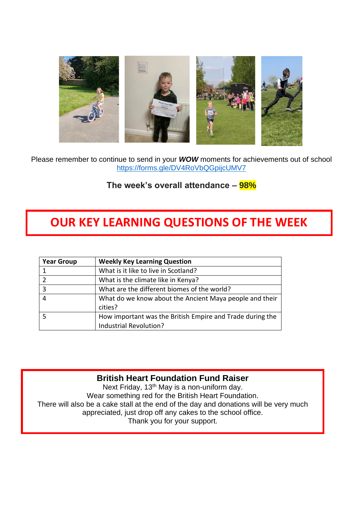

Please remember to continue to send in your *WOW* moments for achievements out of school <https://forms.gle/DV4RoVbQGpijcUMV7>

**The week's overall attendance – 98%**

## **OUR KEY LEARNING QUESTIONS OF THE WEEK**

| <b>Year Group</b>       | <b>Weekly Key Learning Question</b>                                                 |
|-------------------------|-------------------------------------------------------------------------------------|
|                         | What is it like to live in Scotland?                                                |
|                         | What is the climate like in Kenya?                                                  |
| $\overline{\mathbf{3}}$ | What are the different biomes of the world?                                         |
| $\overline{4}$          | What do we know about the Ancient Maya people and their                             |
|                         | cities?                                                                             |
|                         | How important was the British Empire and Trade during the<br>Industrial Revolution? |

#### **British Heart Foundation Fund Raiser**

Next Friday, 13<sup>th</sup> May is a non-uniform day. Wear something red for the British Heart Foundation. There will also be a cake stall at the end of the day and donations will be very much appreciated, just drop off any cakes to the school office. Thank you for your support.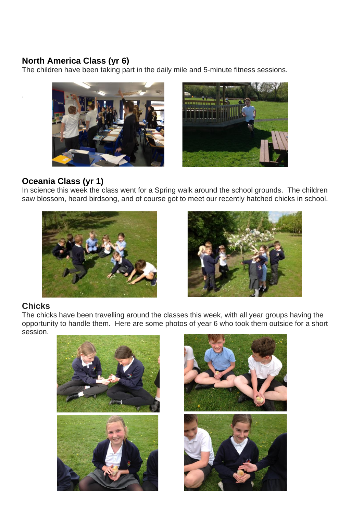#### **North America Class (yr 6)**

The children have been taking part in the daily mile and 5-minute fitness sessions.





#### **Oceania Class (yr 1)**

In science this week the class went for a Spring walk around the school grounds. The children saw blossom, heard birdsong, and of course got to meet our recently hatched chicks in school.





#### **Chicks**

.

The chicks have been travelling around the classes this week, with all year groups having the opportunity to handle them. Here are some photos of year 6 who took them outside for a short session.



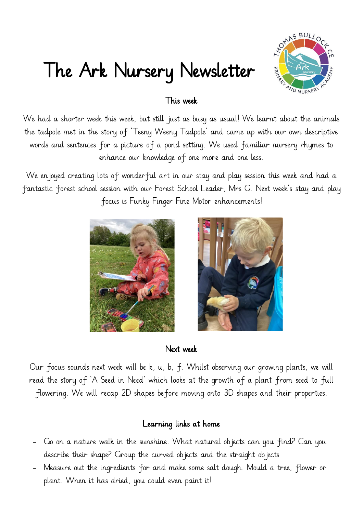# The Ark Nursery Newsletter



### This week

We had a shorter week this week, but still just as busy as usual! We learnt about the animals the tadpole met in the story of 'Teeny Weeny Tadpole' and came up with our own descriptive words and sentences for a picture of a pond setting. We used familiar nursery rhymes to enhance our knowledge of one more and one less.

We enjoyed creating lots of wonderful art in our stay and play session this week and had a fantastic forest school session with our Forest School Leader, Mrs G. Next week's stay and play focus is Funky Finger Fine Motor enhancements!





#### Next week

Our focus sounds next week will be k, u, b, f. Whilst observing our growing plants, we will read the story of 'A Seed in Need' which looks at the growth of a plant from seed to full flowering. We will recap 2D shapes before moving onto 3D shapes and their properties.

### Learning links at home

- Go on a nature walk in the sunshine. What natural objects can you find? Can you describe their shape? Group the curved objects and the straight objects
- Measure out the ingredients for and make some salt dough. Mould a tree, flower or plant. When it has dried, you could even paint it!